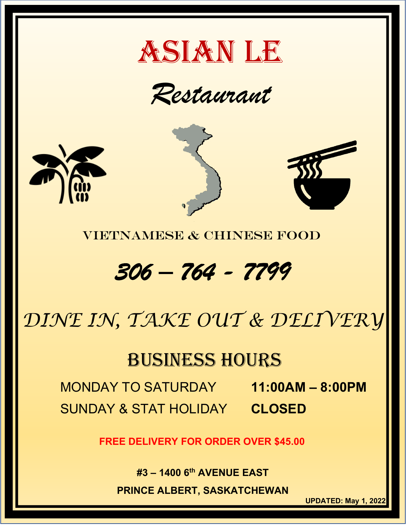

*Restaurant*







VIETNAMESE & CHINESE FOOD

# *306 – 764 - 7799*

# *DINE IN, TAKE OUT & DELIVERY*

# BUSINESS HOURS

MONDAY TO SATURDAY **11:00AM – 8:00PM** SUNDAY & STAT HOLIDAY **CLOSED**

**FREE DELIVERY FOR ORDER OVER \$45.00**

**#3 – 1400 6th AVENUE EAST**

**PRINCE ALBERT, SASKATCHEWAN**

**UPDATED: May 1, 2022**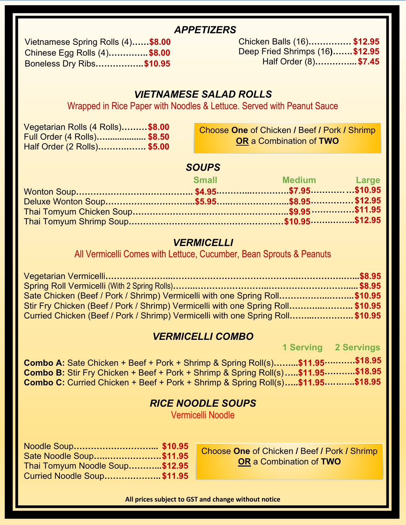#### *APPETIZERS*

| Vietnamese Spring Rolls (4)\$8.00 |  |
|-----------------------------------|--|
| Chinese Egg Rolls (4)\$8.00       |  |
| Boneless Dry Ribs\$10.95          |  |
|                                   |  |

Chicken Balls (16)**…………… \$12.95** Deep Fried Shrimps (16**)…….\$12.95** Half Order (8)**…………...\$7.45**

## *VIETNAMESE SALAD ROLLS*

Wrapped in Rice Paper with Noodles & Lettuce. Served with Peanut Sauce

| Vegetarian Rolls (4 Rolls)\$8.00 |  |
|----------------------------------|--|
| Full Order (4 Rolls)\$8.50       |  |
| Half Order (2 Rolls)\$5.00       |  |

Choose **One** of Chicken **/** Beef **/** Pork **/** Shrimp **OR** a Combination of **TWO**

## *SOUPS*

|  | Small Medium Large |  |
|--|--------------------|--|
|  |                    |  |
|  |                    |  |
|  |                    |  |
|  |                    |  |

#### *VERMICELLI*

All Vermicelli Comes with Lettuce, Cucumber, Bean Sprouts & Peanuts

| Sate Chicken (Beef / Pork / Shrimp) Vermicelli with one Spring Roll\$10.95     |  |
|--------------------------------------------------------------------------------|--|
| Stir Fry Chicken (Beef / Pork / Shrimp) Vermicelli with one Spring Roll\$10.95 |  |
| Curried Chicken (Beef / Pork / Shrimp) Vermicelli with one Spring Roll\$10.95  |  |

## *VERMICELLI COMBO*

**1 Serving 2 Servings**

**Combo A:** Sate Chicken + Beef + Pork + Shrimp & Spring Roll(s)**… …...\$11.95 ….…….\$18.95 Combo B:** Stir Fry Chicken + Beef + Pork + Shrimp & Spring Roll(s).....\$11.95 ...........\$18.95 **Combo C:** Curried Chicken + Beef + Pork + Shrimp & Spring Roll(s) **…..\$11.95 …. ..…..\$18.95**

## *RICE NOODLE SOUPS*

Vermicelli Noodle

| Noodle Soup \$10.95            |  |
|--------------------------------|--|
| Sate Noodle Soup\$11.95        |  |
| Thai Tomyum Noodle Soup\$12.95 |  |
| Curried Noodle Soup\$11.95     |  |

Choose **One** of Chicken **/** Beef **/** Pork **/** Shrimp **OR** a Combination of **TWO**

**All prices subject to GST and change without notice**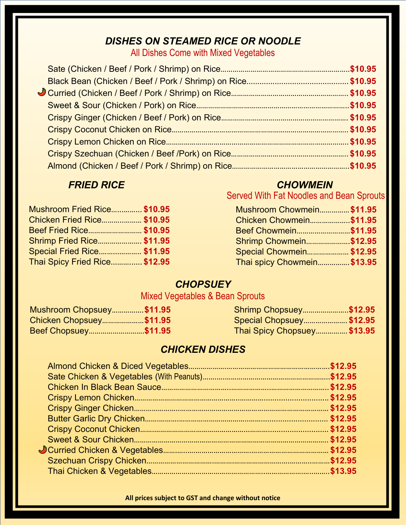# *DISHES ON STEAMED RICE OR NOODLE*

All Dishes Come with Mixed Vegetables

| <b>Mushroom Fried Rice \$10.95</b> |  |
|------------------------------------|--|
| <b>Chicken Fried Rice \$10.95</b>  |  |
| Beef Fried Rice \$10.95            |  |
| <b>Shrimp Fried Rice \$11.95</b>   |  |
| <b>Special Fried Rice \$11.95</b>  |  |
| Thai Spicy Fried Rice \$12.95      |  |

# *FRIED RICE* CHOWMEIN

Served With Fat Noodles and Bean Sprouts

| Mushroom Chowmein \$11.95      |  |
|--------------------------------|--|
| <b>Chicken Chowmein\$11.95</b> |  |
| Beef Chowmein\$11.95           |  |
| <b>Shrimp Chowmein\$12.95</b>  |  |
| Special Chowmein \$12.95       |  |
| Thai spicy Chowmein \$13.95    |  |

# *CHOPSUEY*

# Mixed Vegetables & Bean Sprouts

| <b>Mushroom Chopsuey\$11.95</b> | <b>Shrimp Chopsuey\$12.95</b>   |  |
|---------------------------------|---------------------------------|--|
| <b>Chicken Chopsuey\$11.95</b>  | <b>Special Chopsuey \$12.95</b> |  |
| Beef Chopsuey \$11.95           | Thai Spicy Chopsuey \$13.95     |  |

# *CHICKEN DISHES*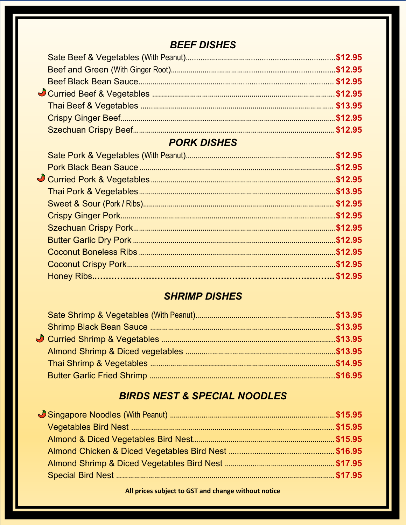# *BEEF DISHES*

# *PORK DISHES*

# *SHRIMP DISHES*

# *BIRDS NEST & SPECIAL NOODLES*

**All prices subject to GST and change without notice**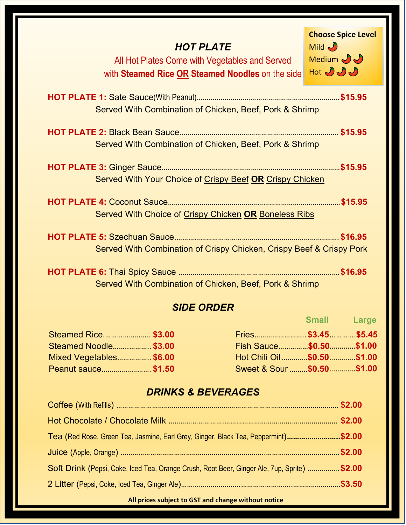| <b>HOT PLATE</b><br>All Hot Plates Come with Vegetables and Served<br>with <b>Steamed Rice OR Steamed Noodles</b> on the side | <b>Choose Spice Level</b><br>Mid<br>Medium JJ<br>Hot $JJ$ |
|-------------------------------------------------------------------------------------------------------------------------------|-----------------------------------------------------------|
| Served With Combination of Chicken, Beef, Pork & Shrimp                                                                       |                                                           |
| Served With Combination of Chicken, Beef, Pork & Shrimp                                                                       |                                                           |
| Served With Your Choice of Crispy Beef OR Crispy Chicken                                                                      |                                                           |
| Served With Choice of Crispy Chicken OR Boneless Ribs                                                                         |                                                           |
| Served With Combination of Crispy Chicken, Crispy Beef & Crispy Pork                                                          |                                                           |
| Served With Combination of Chicken, Beef, Pork & Shrimp                                                                       |                                                           |

# *SIDE ORDER*

|                        |                            | <b>Small</b> | Large |
|------------------------|----------------------------|--------------|-------|
| Steamed Rice \$3.00    | Fries \$3.45 \$5.45        |              |       |
| Steamed Noodle \$3.00  | Fish Sauce\$0.50\$1.00     |              |       |
| Mixed Vegetables\$6.00 | Hot Chili Oil\$0.50\$1.00  |              |       |
| Peanut sauce \$1.50    | Sweet & Sour \$0.50 \$1.00 |              |       |

# *DRINKS & BEVERAGES*

| Tea (Red Rose, Green Tea, Jasmine, Earl Grey, Ginger, Black Tea, Peppermint)\$2.00           |  |
|----------------------------------------------------------------------------------------------|--|
|                                                                                              |  |
| Soft Drink (Pepsi, Coke, Iced Tea, Orange Crush, Root Beer, Ginger Ale, 7up, Sprite)  \$2.00 |  |
|                                                                                              |  |
|                                                                                              |  |

**All prices subject to GST and change without notice**